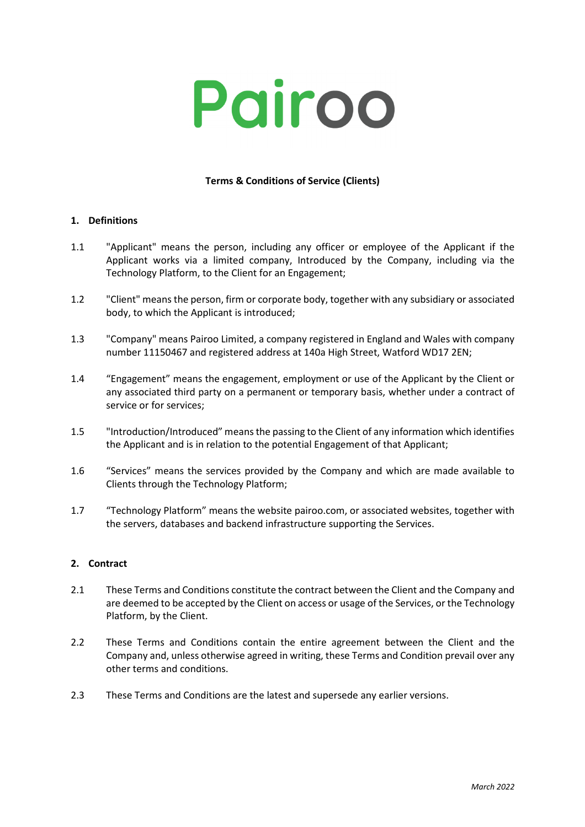# Pairoo

# **Terms & Conditions of Service (Clients)**

#### **1. Definitions**

- 1.1 "Applicant" means the person, including any officer or employee of the Applicant if the Applicant works via a limited company, Introduced by the Company, including via the Technology Platform, to the Client for an Engagement;
- 1.2 "Client" means the person, firm or corporate body, together with any subsidiary or associated body, to which the Applicant is introduced;
- 1.3 "Company" means Pairoo Limited, a company registered in England and Wales with company number 11150467 and registered address at 140a High Street, Watford WD17 2EN;
- 1.4 "Engagement" means the engagement, employment or use of the Applicant by the Client or any associated third party on a permanent or temporary basis, whether under a contract of service or for services;
- 1.5 "Introduction/Introduced" means the passing to the Client of any information which identifies the Applicant and is in relation to the potential Engagement of that Applicant;
- 1.6 "Services" means the services provided by the Company and which are made available to Clients through the Technology Platform;
- 1.7 "Technology Platform" means the website pairoo.com, or associated websites, together with the servers, databases and backend infrastructure supporting the Services.

# **2. Contract**

- 2.1 These Terms and Conditions constitute the contract between the Client and the Company and are deemed to be accepted by the Client on access or usage of the Services, or the Technology Platform, by the Client.
- 2.2 These Terms and Conditions contain the entire agreement between the Client and the Company and, unless otherwise agreed in writing, these Terms and Condition prevail over any other terms and conditions.
- 2.3 These Terms and Conditions are the latest and supersede any earlier versions.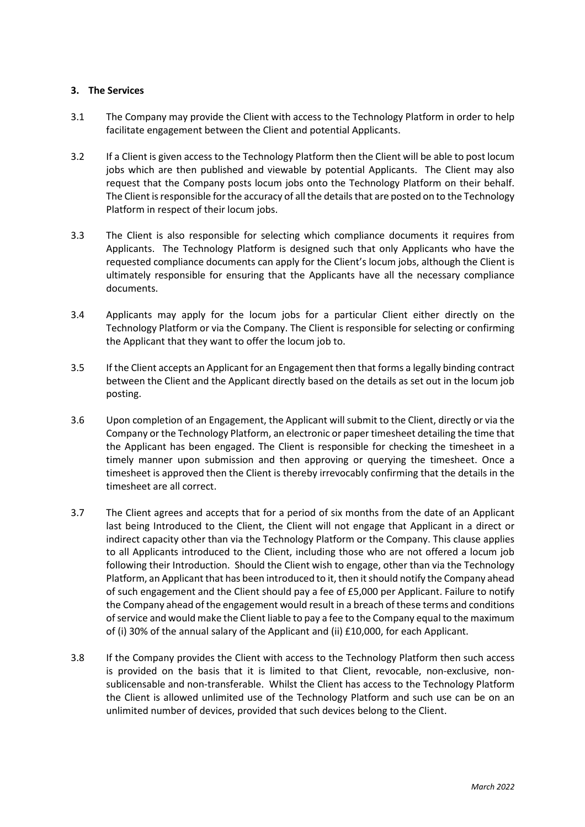#### **3. The Services**

- 3.1 The Company may provide the Client with access to the Technology Platform in order to help facilitate engagement between the Client and potential Applicants.
- 3.2 If a Client is given access to the Technology Platform then the Client will be able to post locum jobs which are then published and viewable by potential Applicants. The Client may also request that the Company posts locum jobs onto the Technology Platform on their behalf. The Client is responsible for the accuracy of all the details that are posted on to the Technology Platform in respect of their locum jobs.
- 3.3 The Client is also responsible for selecting which compliance documents it requires from Applicants. The Technology Platform is designed such that only Applicants who have the requested compliance documents can apply for the Client's locum jobs, although the Client is ultimately responsible for ensuring that the Applicants have all the necessary compliance documents.
- 3.4 Applicants may apply for the locum jobs for a particular Client either directly on the Technology Platform or via the Company. The Client is responsible for selecting or confirming the Applicant that they want to offer the locum job to.
- 3.5 If the Client accepts an Applicant for an Engagement then that forms a legally binding contract between the Client and the Applicant directly based on the details as set out in the locum job posting.
- 3.6 Upon completion of an Engagement, the Applicant will submit to the Client, directly or via the Company or the Technology Platform, an electronic or paper timesheet detailing the time that the Applicant has been engaged. The Client is responsible for checking the timesheet in a timely manner upon submission and then approving or querying the timesheet. Once a timesheet is approved then the Client is thereby irrevocably confirming that the details in the timesheet are all correct.
- 3.7 The Client agrees and accepts that for a period of six months from the date of an Applicant last being Introduced to the Client, the Client will not engage that Applicant in a direct or indirect capacity other than via the Technology Platform or the Company. This clause applies to all Applicants introduced to the Client, including those who are not offered a locum job following their Introduction. Should the Client wish to engage, other than via the Technology Platform, an Applicant that has been introduced to it, then it should notify the Company ahead of such engagement and the Client should pay a fee of £5,000 per Applicant. Failure to notify the Company ahead of the engagement would result in a breach of these terms and conditions of service and would make the Client liable to pay a fee to the Company equal to the maximum of (i) 30% of the annual salary of the Applicant and (ii) £10,000, for each Applicant.
- 3.8 If the Company provides the Client with access to the Technology Platform then such access is provided on the basis that it is limited to that Client, revocable, non-exclusive, nonsublicensable and non-transferable. Whilst the Client has access to the Technology Platform the Client is allowed unlimited use of the Technology Platform and such use can be on an unlimited number of devices, provided that such devices belong to the Client.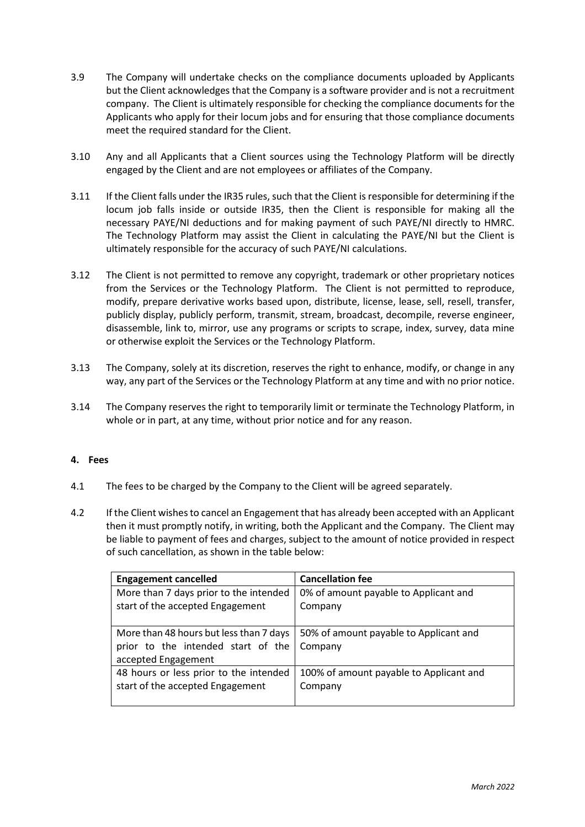- 3.9 The Company will undertake checks on the compliance documents uploaded by Applicants but the Client acknowledges that the Company is a software provider and is not a recruitment company. The Client is ultimately responsible for checking the compliance documents for the Applicants who apply for their locum jobs and for ensuring that those compliance documents meet the required standard for the Client.
- 3.10 Any and all Applicants that a Client sources using the Technology Platform will be directly engaged by the Client and are not employees or affiliates of the Company.
- 3.11 If the Client falls under the IR35 rules, such that the Client is responsible for determining if the locum job falls inside or outside IR35, then the Client is responsible for making all the necessary PAYE/NI deductions and for making payment of such PAYE/NI directly to HMRC. The Technology Platform may assist the Client in calculating the PAYE/NI but the Client is ultimately responsible for the accuracy of such PAYE/NI calculations.
- 3.12 The Client is not permitted to remove any copyright, trademark or other proprietary notices from the Services or the Technology Platform. The Client is not permitted to reproduce, modify, prepare derivative works based upon, distribute, license, lease, sell, resell, transfer, publicly display, publicly perform, transmit, stream, broadcast, decompile, reverse engineer, disassemble, link to, mirror, use any programs or scripts to scrape, index, survey, data mine or otherwise exploit the Services or the Technology Platform.
- 3.13 The Company, solely at its discretion, reserves the right to enhance, modify, or change in any way, any part of the Services or the Technology Platform at any time and with no prior notice.
- 3.14 The Company reserves the right to temporarily limit or terminate the Technology Platform, in whole or in part, at any time, without prior notice and for any reason.

# **4. Fees**

- 4.1 The fees to be charged by the Company to the Client will be agreed separately.
- 4.2 If the Client wishes to cancel an Engagement that has already been accepted with an Applicant then it must promptly notify, in writing, both the Applicant and the Company. The Client may be liable to payment of fees and charges, subject to the amount of notice provided in respect of such cancellation, as shown in the table below:

| <b>Engagement cancelled</b>             | <b>Cancellation fee</b>                 |
|-----------------------------------------|-----------------------------------------|
| More than 7 days prior to the intended  | 0% of amount payable to Applicant and   |
| start of the accepted Engagement        | Company                                 |
|                                         |                                         |
| More than 48 hours but less than 7 days | 50% of amount payable to Applicant and  |
| prior to the intended start of the      | Company                                 |
| accepted Engagement                     |                                         |
| 48 hours or less prior to the intended  | 100% of amount payable to Applicant and |
| start of the accepted Engagement        | Company                                 |
|                                         |                                         |